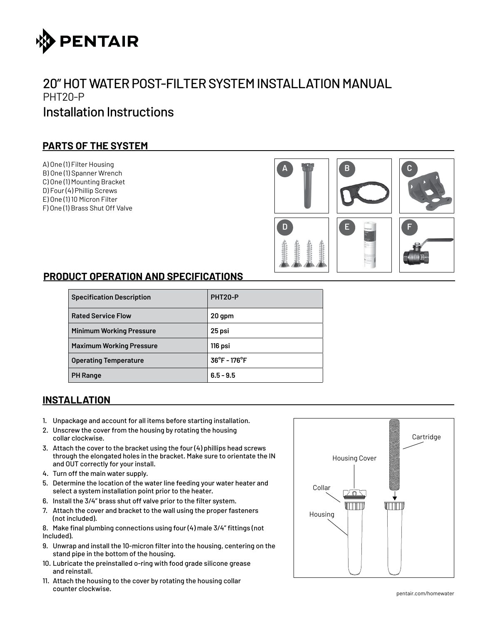

# 20" HOT WATER POST-FILTER SYSTEM INSTALLATION MANUAL PHT20-P Installation Instructions

# **PARTS OF THE SYSTEM**

A) One (1) Filter Housing B) One (1) Spanner Wrench C) One (1) Mounting Bracket D) Four (4) Phillip Screws E) One (1) 10 Micron Filter F) One (1) Brass Shut Off Valve



# **PRODUCT OPERATION AND SPECIFICATIONS**

| <b>Specification Description</b> | PHT <sub>20-P</sub>               |
|----------------------------------|-----------------------------------|
| <b>Rated Service Flow</b>        | 20 gpm                            |
| <b>Minimum Working Pressure</b>  | 25 psi                            |
| <b>Maximum Working Pressure</b>  | 116 psi                           |
| <b>Operating Temperature</b>     | $36^{\circ}$ F - 176 $^{\circ}$ F |
| <b>PH Range</b>                  | $6.5 - 9.5$                       |

# **INSTALLATION**

- 1. Unpackage and account for all items before starting installation.
- 2. Unscrew the cover from the housing by rotating the housing collar clockwise.
- 3. Attach the cover to the bracket using the four (4) phillips head screws through the elongated holes in the bracket. Make sure to orientate the IN and OUT correctly for your install.
- 4. Turn off the main water supply.
- 5. Determine the location of the water line feeding your water heater and select a system installation point prior to the heater.
- 6. Install the 3/4" brass shut off valve prior to the filter system.
- 7. Attach the cover and bracket to the wall using the proper fasteners (not included).
- 8. Make final plumbing connections using four (4) male 3/4" fittings (not Included).
- 9. Unwrap and install the 10-micron filter into the housing, centering on the stand pipe in the bottom of the housing.
- 10. Lubricate the preinstalled o-ring with food grade silicone grease and reinstall.
- 11. Attach the housing to the cover by rotating the housing collar counter clockwise.